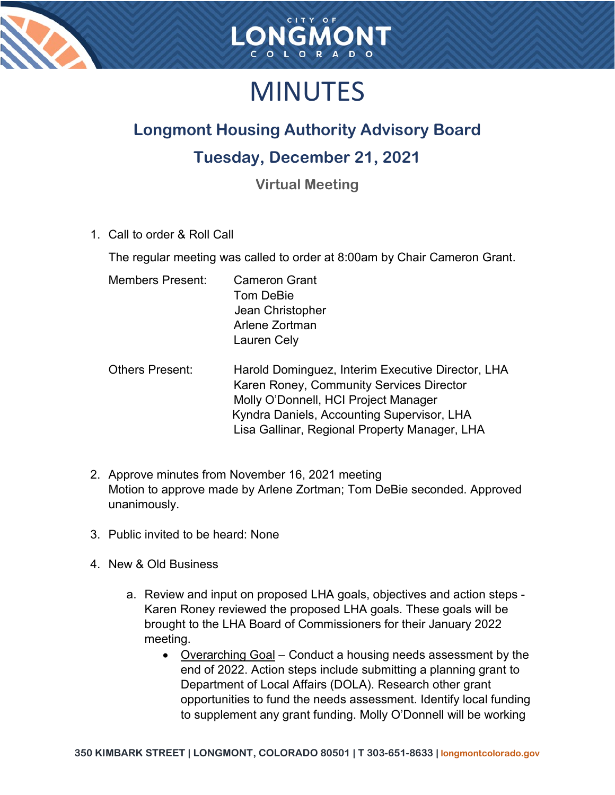



## MINUTES

### **Longmont Housing Authority Advisory Board**

#### **Tuesday, December 21, 2021**

**Virtual Meeting**

1. Call to order & Roll Call

The regular meeting was called to order at 8:00am by Chair Cameron Grant.

| <b>Members Present:</b> | <b>Cameron Grant</b> |
|-------------------------|----------------------|
|                         | Tom DeBie            |
|                         | Jean Christopher     |
|                         | Arlene Zortman       |
|                         | <b>Lauren Cely</b>   |
|                         |                      |

- Others Present: Harold Dominguez, Interim Executive Director, LHA Karen Roney, Community Services Director Molly O'Donnell, HCI Project Manager Kyndra Daniels, Accounting Supervisor, LHA Lisa Gallinar, Regional Property Manager, LHA
- 2. Approve minutes from November 16, 2021 meeting Motion to approve made by Arlene Zortman; Tom DeBie seconded. Approved unanimously.
- 3. Public invited to be heard: None
- 4. New & Old Business
	- a. Review and input on proposed LHA goals, objectives and action steps Karen Roney reviewed the proposed LHA goals. These goals will be brought to the LHA Board of Commissioners for their January 2022 meeting.
		- Overarching Goal Conduct a housing needs assessment by the end of 2022. Action steps include submitting a planning grant to Department of Local Affairs (DOLA). Research other grant opportunities to fund the needs assessment. Identify local funding to supplement any grant funding. Molly O'Donnell will be working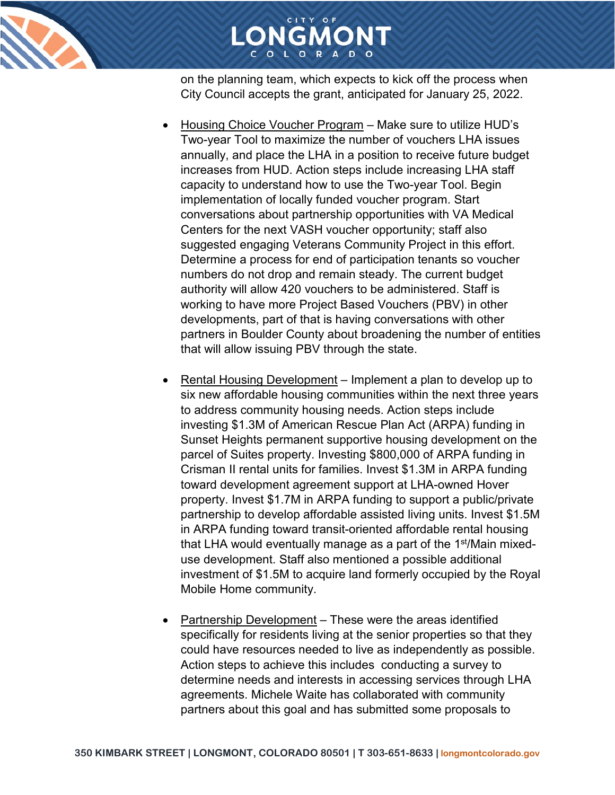



on the planning team, which expects to kick off the process when City Council accepts the grant, anticipated for January 25, 2022.

- Housing Choice Voucher Program Make sure to utilize HUD's Two-year Tool to maximize the number of vouchers LHA issues annually, and place the LHA in a position to receive future budget increases from HUD. Action steps include increasing LHA staff capacity to understand how to use the Two-year Tool. Begin implementation of locally funded voucher program. Start conversations about partnership opportunities with VA Medical Centers for the next VASH voucher opportunity; staff also suggested engaging Veterans Community Project in this effort. Determine a process for end of participation tenants so voucher numbers do not drop and remain steady. The current budget authority will allow 420 vouchers to be administered. Staff is working to have more Project Based Vouchers (PBV) in other developments, part of that is having conversations with other partners in Boulder County about broadening the number of entities that will allow issuing PBV through the state.
- Rental Housing Development Implement a plan to develop up to six new affordable housing communities within the next three years to address community housing needs. Action steps include investing \$1.3M of American Rescue Plan Act (ARPA) funding in Sunset Heights permanent supportive housing development on the parcel of Suites property. Investing \$800,000 of ARPA funding in Crisman II rental units for families. Invest \$1.3M in ARPA funding toward development agreement support at LHA-owned Hover property. Invest \$1.7M in ARPA funding to support a public/private partnership to develop affordable assisted living units. Invest \$1.5M in ARPA funding toward transit-oriented affordable rental housing that LHA would eventually manage as a part of the 1<sup>st</sup>/Main mixeduse development. Staff also mentioned a possible additional investment of \$1.5M to acquire land formerly occupied by the Royal Mobile Home community.
- Partnership Development These were the areas identified specifically for residents living at the senior properties so that they could have resources needed to live as independently as possible. Action steps to achieve this includes conducting a survey to determine needs and interests in accessing services through LHA agreements. Michele Waite has collaborated with community partners about this goal and has submitted some proposals to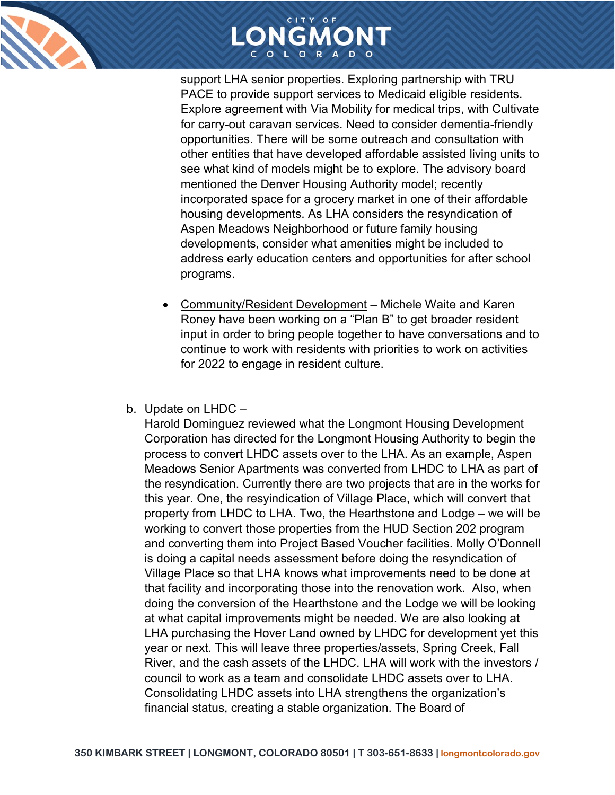



support LHA senior properties. Exploring partnership with TRU PACE to provide support services to Medicaid eligible residents. Explore agreement with Via Mobility for medical trips, with Cultivate for carry-out caravan services. Need to consider dementia-friendly opportunities. There will be some outreach and consultation with other entities that have developed affordable assisted living units to see what kind of models might be to explore. The advisory board mentioned the Denver Housing Authority model; recently incorporated space for a grocery market in one of their affordable housing developments. As LHA considers the resyndication of Aspen Meadows Neighborhood or future family housing developments, consider what amenities might be included to address early education centers and opportunities for after school programs.

- Community/Resident Development Michele Waite and Karen Roney have been working on a "Plan B" to get broader resident input in order to bring people together to have conversations and to continue to work with residents with priorities to work on activities for 2022 to engage in resident culture.
- b. Update on LHDC –

Harold Dominguez reviewed what the Longmont Housing Development Corporation has directed for the Longmont Housing Authority to begin the process to convert LHDC assets over to the LHA. As an example, Aspen Meadows Senior Apartments was converted from LHDC to LHA as part of the resyndication. Currently there are two projects that are in the works for this year. One, the resyindication of Village Place, which will convert that property from LHDC to LHA. Two, the Hearthstone and Lodge – we will be working to convert those properties from the HUD Section 202 program and converting them into Project Based Voucher facilities. Molly O'Donnell is doing a capital needs assessment before doing the resyndication of Village Place so that LHA knows what improvements need to be done at that facility and incorporating those into the renovation work. Also, when doing the conversion of the Hearthstone and the Lodge we will be looking at what capital improvements might be needed. We are also looking at LHA purchasing the Hover Land owned by LHDC for development yet this year or next. This will leave three properties/assets, Spring Creek, Fall River, and the cash assets of the LHDC. LHA will work with the investors / council to work as a team and consolidate LHDC assets over to LHA. Consolidating LHDC assets into LHA strengthens the organization's financial status, creating a stable organization. The Board of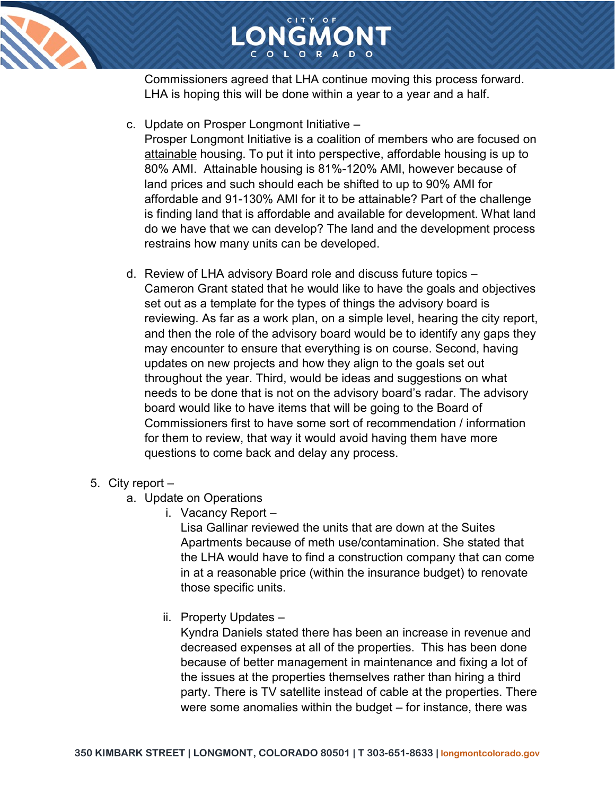

# LONGMONT

Commissioners agreed that LHA continue moving this process forward. LHA is hoping this will be done within a year to a year and a half.

c. Update on Prosper Longmont Initiative –

Prosper Longmont Initiative is a coalition of members who are focused on attainable housing. To put it into perspective, affordable housing is up to 80% AMI. Attainable housing is 81%-120% AMI, however because of land prices and such should each be shifted to up to 90% AMI for affordable and 91-130% AMI for it to be attainable? Part of the challenge is finding land that is affordable and available for development. What land do we have that we can develop? The land and the development process restrains how many units can be developed.

d. Review of LHA advisory Board role and discuss future topics – Cameron Grant stated that he would like to have the goals and objectives set out as a template for the types of things the advisory board is reviewing. As far as a work plan, on a simple level, hearing the city report, and then the role of the advisory board would be to identify any gaps they may encounter to ensure that everything is on course. Second, having updates on new projects and how they align to the goals set out throughout the year. Third, would be ideas and suggestions on what needs to be done that is not on the advisory board's radar. The advisory board would like to have items that will be going to the Board of Commissioners first to have some sort of recommendation / information for them to review, that way it would avoid having them have more questions to come back and delay any process.

#### 5. City report –

- a. Update on Operations
	- i. Vacancy Report –

Lisa Gallinar reviewed the units that are down at the Suites Apartments because of meth use/contamination. She stated that the LHA would have to find a construction company that can come in at a reasonable price (within the insurance budget) to renovate those specific units.

ii. Property Updates –

Kyndra Daniels stated there has been an increase in revenue and decreased expenses at all of the properties. This has been done because of better management in maintenance and fixing a lot of the issues at the properties themselves rather than hiring a third party. There is TV satellite instead of cable at the properties. There were some anomalies within the budget – for instance, there was